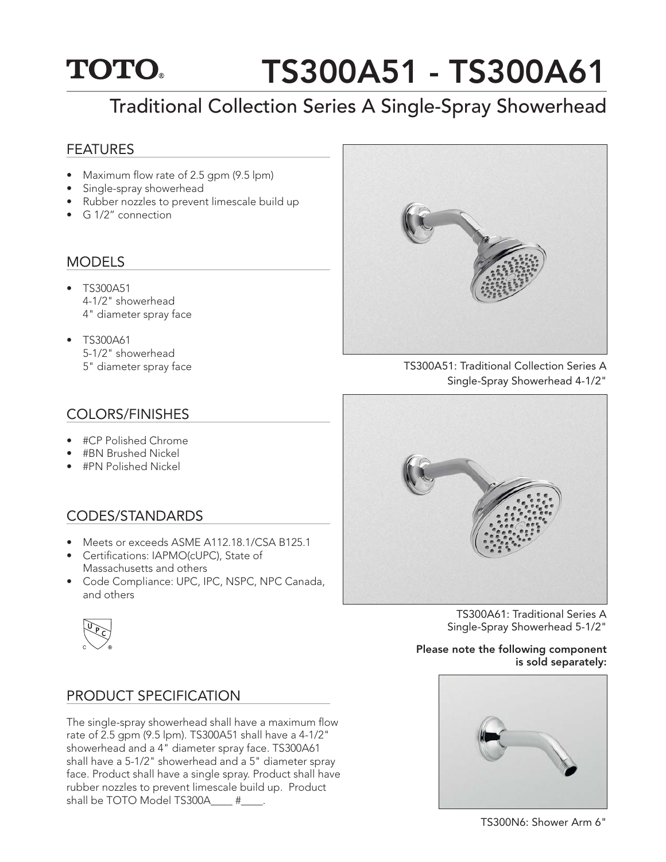## TS300A51 - TS300A61 **TOTO.**

# Traditional Collection Series A Single-Spray Showerhead

### FEATURES

- Maximum flow rate of 2.5 gpm  $(9.5 \text{ lpm})$
- Single-spray showerhead
- Rubber nozzles to prevent limescale build up
- G 1/2" connection

### **MODELS**

- TS300A51 4-1/2" showerhead 4" diameter spray face
- TS300A61 5-1/2" showerhead 5" diameter spray face

## COLORS/FINISHES

- #CP Polished Chrome
- #BN Brushed Nickel
- #PN Polished Nickel

## CODES/STANDARDS

- Meets or exceeds ASME A112.18.1/CSA B125.1
- Certifications: IAPMO(cUPC), State of Massachusetts and others
- Code Compliance: UPC, IPC, NSPC, NPC Canada, and others



## PRODUCT SPECIFICATION

The single-spray showerhead shall have a maximum flow rate of 2.5 gpm (9.5 lpm). TS300A51 shall have a 4-1/2" showerhead and a 4" diameter spray face. TS300A61 shall have a 5-1/2" showerhead and a 5" diameter spray face. Product shall have a single spray. Product shall have rubber nozzles to prevent limescale build up. Product shall be TOTO Model TS300A\_\_\_\_ #\_\_\_\_.



TS300A51: Traditional Collection Series A Single-Spray Showerhead 4-1/2"



TS300A61: Traditional Series A Single-Spray Showerhead 5-1/2"

#### Please note the following component is sold separately:



TS300N6: Shower Arm 6"